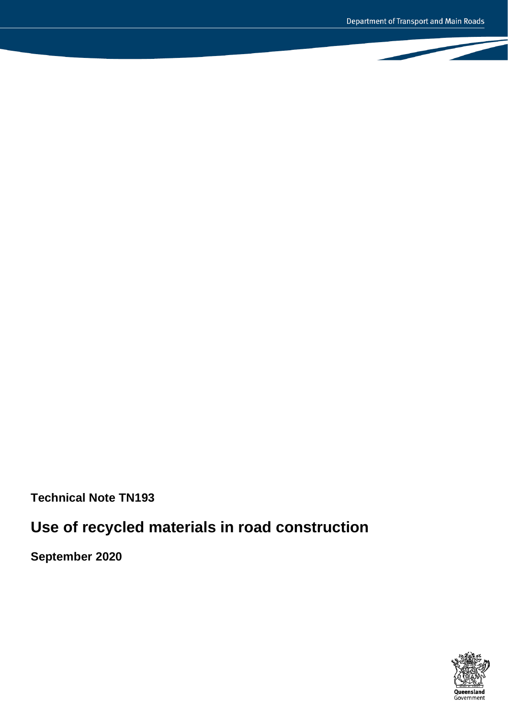**Technical Note TN193**

# **Use of recycled materials in road construction**

**September 2020**

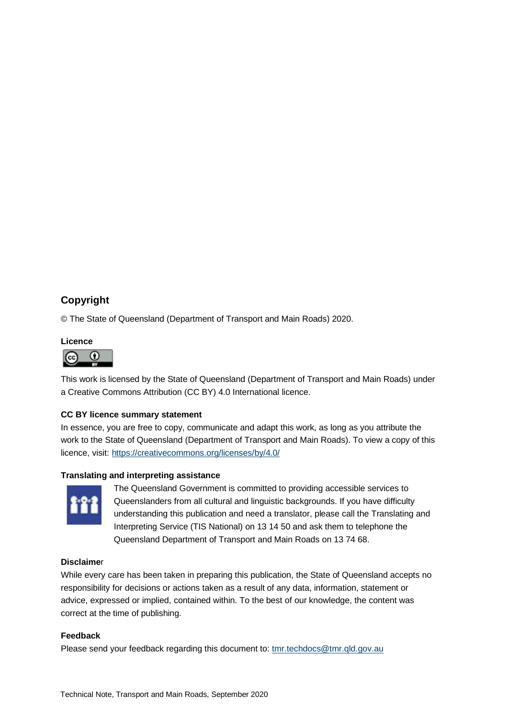# **Copyright**

© The State of Queensland (Department of Transport and Main Roads) 2020.

# **Licence**



This work is licensed by the State of Queensland (Department of Transport and Main Roads) under a Creative Commons Attribution (CC BY) 4.0 International licence.

#### **CC BY licence summary statement**

In essence, you are free to copy, communicate and adapt this work, as long as you attribute the work to the State of Queensland (Department of Transport and Main Roads). To view a copy of this licence, visit[: https://creativecommons.org/licenses/by/4.0/](https://creativecommons.org/licenses/by/4.0/)

#### **Translating and interpreting assistance**



The Queensland Government is committed to providing accessible services to Queenslanders from all cultural and linguistic backgrounds. If you have difficulty understanding this publication and need a translator, please call the Translating and Interpreting Service (TIS National) on 13 14 50 and ask them to telephone the Queensland Department of Transport and Main Roads on 13 74 68.

#### **Disclaime**r

While every care has been taken in preparing this publication, the State of Queensland accepts no responsibility for decisions or actions taken as a result of any data, information, statement or advice, expressed or implied, contained within. To the best of our knowledge, the content was correct at the time of publishing.

#### **Feedback**

Please send your feedback regarding this document to[: tmr.techdocs@tmr.qld.gov.au](mailto:tmr.techdocs@tmr.qld.gov.au)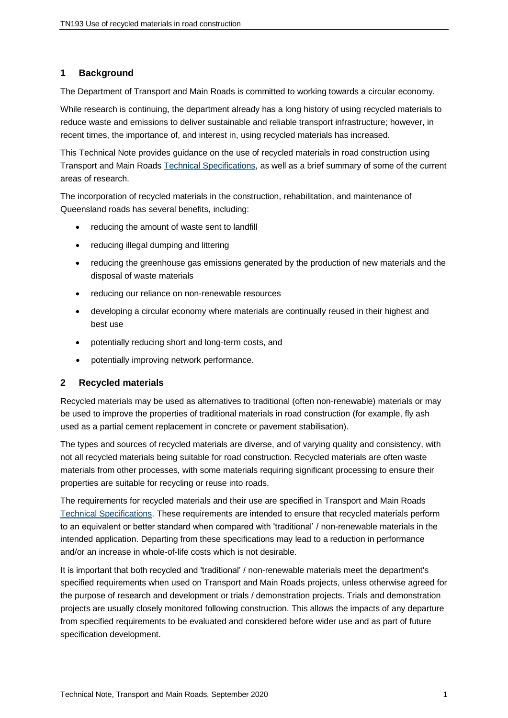# **1 Background**

The Department of Transport and Main Roads is committed to working towards a circular economy.

While research is continuing, the department already has a long history of using recycled materials to reduce waste and emissions to deliver sustainable and reliable transport infrastructure; however, in recent times, the importance of, and interest in, using recycled materials has increased.

This Technical Note provides guidance on the use of recycled materials in road construction using Transport and Main Roads [Technical Specifications,](https://www.tmr.qld.gov.au/business-industry/Technical-standards-publications/Specifications) as well as a brief summary of some of the current areas of research.

The incorporation of recycled materials in the construction, rehabilitation, and maintenance of Queensland roads has several benefits, including:

- reducing the amount of waste sent to landfill
- reducing illegal dumping and littering
- reducing the greenhouse gas emissions generated by the production of new materials and the disposal of waste materials
- reducing our reliance on non-renewable resources
- developing a circular economy where materials are continually reused in their highest and best use
- potentially reducing short and long-term costs, and
- potentially improving network performance.

# **2 Recycled materials**

Recycled materials may be used as alternatives to traditional (often non-renewable) materials or may be used to improve the properties of traditional materials in road construction (for example, fly ash used as a partial cement replacement in concrete or pavement stabilisation).

The types and sources of recycled materials are diverse, and of varying quality and consistency, with not all recycled materials being suitable for road construction. Recycled materials are often waste materials from other processes, with some materials requiring significant processing to ensure their properties are suitable for recycling or reuse into roads.

The requirements for recycled materials and their use are specified in Transport and Main Roads [Technical Specifications.](https://www.tmr.qld.gov.au/business-industry/Technical-standards-publications/Specifications) These requirements are intended to ensure that recycled materials perform to an equivalent or better standard when compared with 'traditional' / non-renewable materials in the intended application. Departing from these specifications may lead to a reduction in performance and/or an increase in whole-of-life costs which is not desirable.

It is important that both recycled and 'traditional' / non-renewable materials meet the department's specified requirements when used on Transport and Main Roads projects, unless otherwise agreed for the purpose of research and development or trials / demonstration projects. Trials and demonstration projects are usually closely monitored following construction. This allows the impacts of any departure from specified requirements to be evaluated and considered before wider use and as part of future specification development.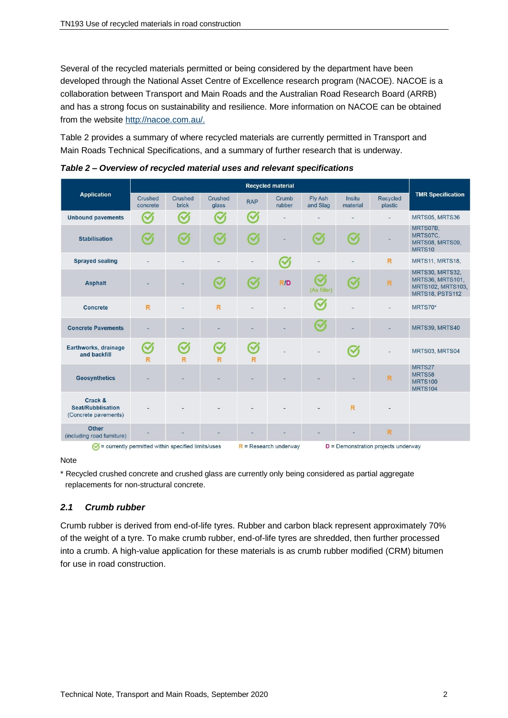Several of the recycled materials permitted or being considered by the department have been developed through the National Asset Centre of Excellence research program (NACOE). NACOE is a collaboration between Transport and Main Roads and the Australian Road Research Board (ARRB) and has a strong focus on sustainability and resilience. More information on NACOE can be obtained from the website [http://nacoe.com.au/.](http://nacoe.com.au/)

Table 2 provides a summary of where recycled materials are currently permitted in Transport and Main Roads Technical Specifications, and a summary of further research that is underway.

|                                                                         | <b>Recycled material</b> |                         |                                                                  |                           |                           |                     |                    |                          |                                                                                    |
|-------------------------------------------------------------------------|--------------------------|-------------------------|------------------------------------------------------------------|---------------------------|---------------------------|---------------------|--------------------|--------------------------|------------------------------------------------------------------------------------|
| <b>Application</b>                                                      | Crushed<br>concrete      | Crushed<br><b>brick</b> | Crushed<br>glass                                                 | <b>RAP</b>                | Crumb<br>rubber           | Fly Ash<br>and Slag | Insitu<br>material | Recycled<br>plastic      | <b>TMR Specification</b>                                                           |
| <b>Unbound pavements</b>                                                | $\checkmark$             | $\sim$                  | $\checkmark$                                                     | $\sim$                    |                           |                     |                    | $\overline{\phantom{a}}$ | MRTS05, MRTS36                                                                     |
| <b>Stabilisation</b>                                                    | $\sim$                   | $\sim$                  | $\mathcal{C}$                                                    | $\boldsymbol{\heartsuit}$ |                           | $\sim$              | $\mathcal{C}$      | ۰                        | MRTS07B,<br>MRTS07C.<br>MRTS08, MRTS09,<br>MRTS10                                  |
| <b>Sprayed sealing</b>                                                  |                          |                         |                                                                  |                           | $\boldsymbol{\heartsuit}$ |                     |                    | R                        | MRTS11, MRTS18,                                                                    |
| <b>Asphalt</b>                                                          |                          |                         | $\mathcal{C}$                                                    | $\boldsymbol{\varsigma}$  | R/D                       | (V<br>(As filler)   | $\sim$             | $\overline{\mathsf{R}}$  | MRTS30, MRTS32,<br><b>MRTS36, MRTS101,</b><br>MRTS102, MRTS103,<br>MRTS18, PSTS112 |
| <b>Concrete</b>                                                         | R.                       |                         | R                                                                |                           |                           | $\checkmark$        |                    |                          | MRTS70*                                                                            |
| <b>Concrete Pavements</b>                                               |                          |                         |                                                                  |                           |                           | $\heartsuit$        |                    |                          | MRTS39, MRTS40                                                                     |
| Earthworks, drainage<br>and backfill                                    | $\checkmark$<br>R        | $\sim$<br>R             | $\sim$<br>R                                                      | $\blacktriangledown$<br>R |                           |                     | $\mathcal{C}$      |                          | MRTS03, MRTS04                                                                     |
| <b>Geosynthetics</b>                                                    |                          |                         |                                                                  |                           |                           |                     |                    | R                        | MRTS27<br>MRTS58<br><b>MRTS100</b><br><b>MRTS104</b>                               |
| Crack &<br>Seat/Rubblisation<br>(Concrete pavements)                    |                          |                         |                                                                  |                           |                           |                     | R                  |                          |                                                                                    |
| <b>Other</b><br>(including road furniture)                              |                          |                         |                                                                  |                           |                           |                     |                    | R                        |                                                                                    |
| $\sqrt{\phantom{a}}$ = currently permitted within specified limits/uses |                          |                         | $R$ = Research underway<br>$D =$ Demonstration projects underway |                           |                           |                     |                    |                          |                                                                                    |

*Table 2 – Overview of recycled material uses and relevant specifications*

#### **Note**

\* Recycled crushed concrete and crushed glass are currently only being considered as partial aggregate replacements for non-structural concrete.

# *2.1 Crumb rubber*

Crumb rubber is derived from end-of-life tyres. Rubber and carbon black represent approximately 70% of the weight of a tyre. To make crumb rubber, end-of-life tyres are shredded, then further processed into a crumb. A high-value application for these materials is as crumb rubber modified (CRM) bitumen for use in road construction.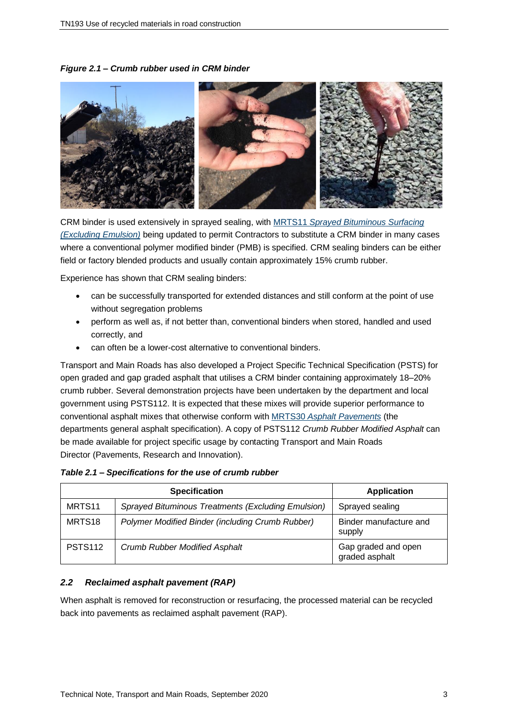*Figure 2.1 – Crumb rubber used in CRM binder*



CRM binder is used extensively in sprayed sealing, with MRTS11 *[Sprayed Bituminous Surfacing](https://www.tmr.qld.gov.au/business-industry/Technical-standards-publications/Specifications/5-Pavements-Subgrade-and-Surfacing)  [\(Excluding Emulsion\)](https://www.tmr.qld.gov.au/business-industry/Technical-standards-publications/Specifications/5-Pavements-Subgrade-and-Surfacing)* being updated to permit Contractors to substitute a CRM binder in many cases where a conventional polymer modified binder (PMB) is specified. CRM sealing binders can be either field or factory blended products and usually contain approximately 15% crumb rubber.

Experience has shown that CRM sealing binders:

- can be successfully transported for extended distances and still conform at the point of use without segregation problems
- perform as well as, if not better than, conventional binders when stored, handled and used correctly, and
- can often be a lower-cost alternative to conventional binders.

Transport and Main Roads has also developed a Project Specific Technical Specification (PSTS) for open graded and gap graded asphalt that utilises a CRM binder containing approximately 18–20% crumb rubber. Several demonstration projects have been undertaken by the department and local government using PSTS112. It is expected that these mixes will provide superior performance to conventional asphalt mixes that otherwise conform with MRTS30 *[Asphalt Pavements](https://www.tmr.qld.gov.au/business-industry/Technical-standards-publications/Specifications/5-Pavements-Subgrade-and-Surfacing)* (the departments general asphalt specification). A copy of PSTS112 *Crumb Rubber Modified Asphalt* can be made available for project specific usage by contacting Transport and Main Roads Director (Pavements, Research and Innovation).

|                    | <b>Specification</b>                               | <b>Application</b>                    |
|--------------------|----------------------------------------------------|---------------------------------------|
| MRTS <sub>11</sub> | Sprayed Bituminous Treatments (Excluding Emulsion) | Sprayed sealing                       |
| MRTS <sub>18</sub> | Polymer Modified Binder (including Crumb Rubber)   | Binder manufacture and<br>supply      |
| <b>PSTS112</b>     | <b>Crumb Rubber Modified Asphalt</b>               | Gap graded and open<br>graded asphalt |

#### *2.2 Reclaimed asphalt pavement (RAP)*

When asphalt is removed for reconstruction or resurfacing, the processed material can be recycled back into pavements as reclaimed asphalt pavement (RAP).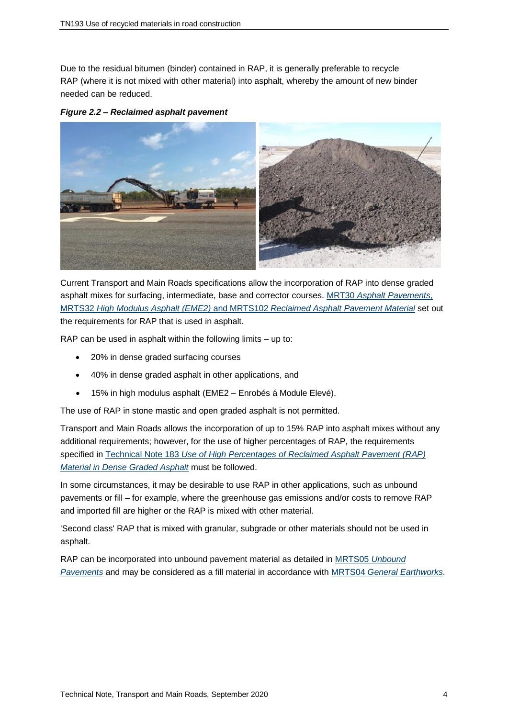Due to the residual bitumen (binder) contained in RAP, it is generally preferable to recycle RAP (where it is not mixed with other material) into asphalt, whereby the amount of new binder needed can be reduced.

*Figure 2.2 – Reclaimed asphalt pavement*



Current Transport and Main Roads specifications allow the incorporation of RAP into dense graded asphalt mixes for surfacing, intermediate, base and corrector courses. MRT30 *[Asphalt Pavements](https://www.tmr.qld.gov.au/business-industry/Technical-standards-publications/Specifications/5-Pavements-Subgrade-and-Surfacing)*, MRTS32 *High Modulus Asphalt (EME2)* and MRTS102 *[Reclaimed Asphalt Pavement Material](https://www.tmr.qld.gov.au/business-industry/Technical-standards-publications/Specifications/5-Pavements-Subgrade-and-Surfacing)* set out the requirements for RAP that is used in asphalt.

RAP can be used in asphalt within the following limits – up to:

- 20% in dense graded surfacing courses
- 40% in dense graded asphalt in other applications, and
- 15% in high modulus asphalt (EME2 Enrobés á Module Elevé).

The use of RAP in stone mastic and open graded asphalt is not permitted.

Transport and Main Roads allows the incorporation of up to 15% RAP into asphalt mixes without any additional requirements; however, for the use of higher percentages of RAP, the requirements specified in Technical Note 183 *[Use of High Percentages of Reclaimed Asphalt Pavement \(RAP\)](https://www.tmr.qld.gov.au/business-industry/Technical-standards-publications/Technical-Notes/Technical-Notes-Index)  [Material in Dense Graded Asphalt](https://www.tmr.qld.gov.au/business-industry/Technical-standards-publications/Technical-Notes/Technical-Notes-Index)* must be followed.

In some circumstances, it may be desirable to use RAP in other applications, such as unbound pavements or fill – for example, where the greenhouse gas emissions and/or costs to remove RAP and imported fill are higher or the RAP is mixed with other material.

'Second class' RAP that is mixed with granular, subgrade or other materials should not be used in asphalt.

RAP can be incorporated into unbound pavement material as detailed in MRTS05 *[Unbound](https://www.tmr.qld.gov.au/business-industry/Technical-standards-publications/Specifications/5-Pavements-Subgrade-and-Surfacing)  [Pavements](https://www.tmr.qld.gov.au/business-industry/Technical-standards-publications/Specifications/5-Pavements-Subgrade-and-Surfacing)* and may be considered as a fill material in accordance with MRTS04 *[General Earthworks](https://www.tmr.qld.gov.au/business-industry/Technical-standards-publications/Specifications/3-Roadworks-Drainage-Culverts-and-Geotechnical)*.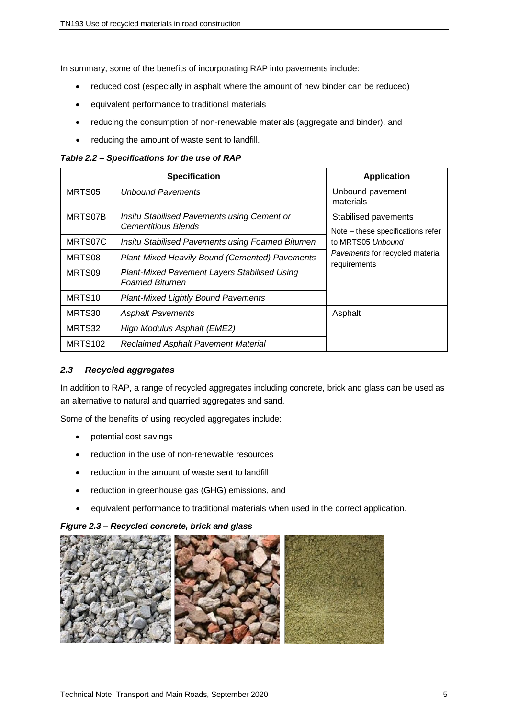In summary, some of the benefits of incorporating RAP into pavements include:

- reduced cost (especially in asphalt where the amount of new binder can be reduced)
- equivalent performance to traditional materials
- reducing the consumption of non-renewable materials (aggregate and binder), and
- reducing the amount of waste sent to landfill.

*Table 2.2 – Specifications for the use of RAP*

|                    | <b>Specification</b>                                                      | <b>Application</b>                                                                                                                |
|--------------------|---------------------------------------------------------------------------|-----------------------------------------------------------------------------------------------------------------------------------|
| MRTS05             | <b>Unbound Pavements</b>                                                  | Unbound pavement<br>materials                                                                                                     |
| MRTS07B            | Insitu Stabilised Pavements using Cement or<br><b>Cementitious Blends</b> | Stabilised pavements<br>Note - these specifications refer<br>to MRTS05 Unbound<br>Pavements for recycled material<br>requirements |
| MRTS07C            | Insitu Stabilised Pavements using Foamed Bitumen                          |                                                                                                                                   |
| MRTS08             | Plant-Mixed Heavily Bound (Cemented) Pavements                            |                                                                                                                                   |
| MRTS09             | Plant-Mixed Pavement Layers Stabilised Using<br><b>Foamed Bitumen</b>     |                                                                                                                                   |
| MRTS <sub>10</sub> | <b>Plant-Mixed Lightly Bound Pavements</b>                                |                                                                                                                                   |
| MRTS30             | <b>Asphalt Pavements</b>                                                  | Asphalt                                                                                                                           |
| MRTS32             | High Modulus Asphalt (EME2)                                               |                                                                                                                                   |
| <b>MRTS102</b>     | <b>Reclaimed Asphalt Pavement Material</b>                                |                                                                                                                                   |

## *2.3 Recycled aggregates*

In addition to RAP, a range of recycled aggregates including concrete, brick and glass can be used as an alternative to natural and quarried aggregates and sand.

Some of the benefits of using recycled aggregates include:

- potential cost savings
- reduction in the use of non-renewable resources
- reduction in the amount of waste sent to landfill
- reduction in greenhouse gas (GHG) emissions, and
- equivalent performance to traditional materials when used in the correct application.

#### *Figure 2.3 – Recycled concrete, brick and glass*

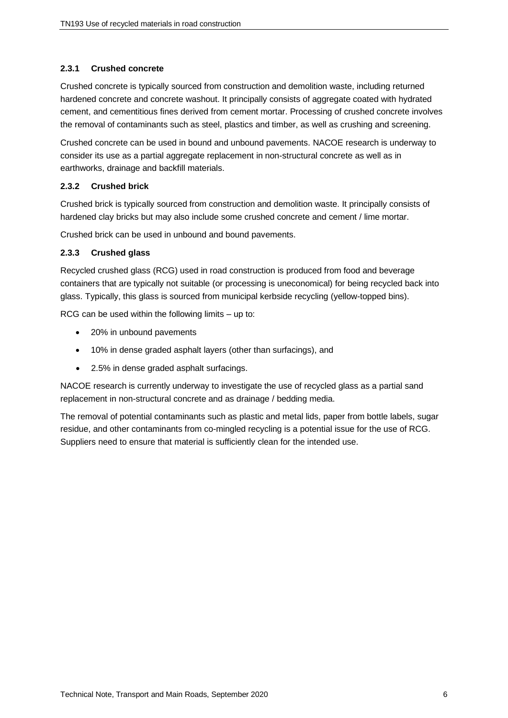# **2.3.1 Crushed concrete**

Crushed concrete is typically sourced from construction and demolition waste, including returned hardened concrete and concrete washout. It principally consists of aggregate coated with hydrated cement, and cementitious fines derived from cement mortar. Processing of crushed concrete involves the removal of contaminants such as steel, plastics and timber, as well as crushing and screening.

Crushed concrete can be used in bound and unbound pavements. NACOE research is underway to consider its use as a partial aggregate replacement in non-structural concrete as well as in earthworks, drainage and backfill materials.

# **2.3.2 Crushed brick**

Crushed brick is typically sourced from construction and demolition waste. It principally consists of hardened clay bricks but may also include some crushed concrete and cement / lime mortar.

Crushed brick can be used in unbound and bound pavements.

# **2.3.3 Crushed glass**

Recycled crushed glass (RCG) used in road construction is produced from food and beverage containers that are typically not suitable (or processing is uneconomical) for being recycled back into glass. Typically, this glass is sourced from municipal kerbside recycling (yellow-topped bins).

RCG can be used within the following limits – up to:

- 20% in unbound pavements
- 10% in dense graded asphalt layers (other than surfacings), and
- 2.5% in dense graded asphalt surfacings.

NACOE research is currently underway to investigate the use of recycled glass as a partial sand replacement in non-structural concrete and as drainage / bedding media.

The removal of potential contaminants such as plastic and metal lids, paper from bottle labels, sugar residue, and other contaminants from co-mingled recycling is a potential issue for the use of RCG. Suppliers need to ensure that material is sufficiently clean for the intended use.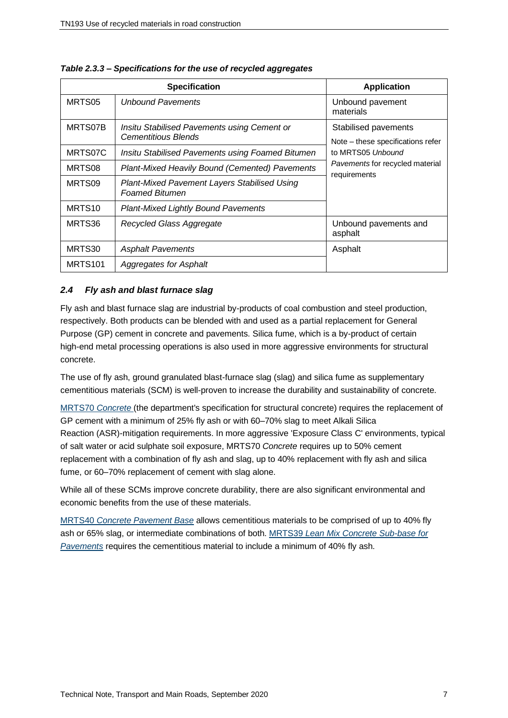|                     | <b>Specification</b>                                                         | <b>Application</b>                                                             |  |
|---------------------|------------------------------------------------------------------------------|--------------------------------------------------------------------------------|--|
| MRTS05              | <b>Unbound Pavements</b>                                                     | Unbound pavement<br>materials                                                  |  |
| MRTS07B             | Insitu Stabilised Pavements using Cement or<br><b>Cementitious Blends</b>    | Stabilised pavements<br>Note – these specifications refer<br>to MRTS05 Unbound |  |
| MRTS07C             | Insitu Stabilised Pavements using Foamed Bitumen                             |                                                                                |  |
| MRTS08              | Plant-Mixed Heavily Bound (Cemented) Pavements                               | <i>Pavements</i> for recycled material<br>requirements                         |  |
| MRTS09              | <b>Plant-Mixed Pavement Layers Stabilised Using</b><br><b>Foamed Bitumen</b> |                                                                                |  |
| MRTS <sub>10</sub>  | <b>Plant-Mixed Lightly Bound Pavements</b>                                   |                                                                                |  |
| MRTS36              | Recycled Glass Aggregate                                                     | Unbound pavements and<br>asphalt                                               |  |
| MRTS30              | <b>Asphalt Pavements</b>                                                     | Asphalt                                                                        |  |
| MRTS <sub>101</sub> | <b>Aggregates for Asphalt</b>                                                |                                                                                |  |

*Table 2.3.3 – Specifications for the use of recycled aggregates*

# *2.4 Fly ash and blast furnace slag*

Fly ash and blast furnace slag are industrial by-products of coal combustion and steel production, respectively. Both products can be blended with and used as a partial replacement for General Purpose (GP) cement in concrete and pavements. Silica fume, which is a by-product of certain high-end metal processing operations is also used in more aggressive environments for structural concrete.

The use of fly ash, ground granulated blast-furnace slag (slag) and silica fume as supplementary cementitious materials (SCM) is well-proven to increase the durability and sustainability of concrete.

MRTS70 *[Concrete](https://www.tmr.qld.gov.au/business-industry/Technical-standards-publications/Specifications/2-Bridges-Marine-and-Structures)* (the department's specification for structural concrete) requires the replacement of GP cement with a minimum of 25% fly ash or with 60–70% slag to meet Alkali Silica Reaction (ASR)-mitigation requirements. In more aggressive 'Exposure Class C' environments, typical of salt water or acid sulphate soil exposure, MRTS70 *Concrete* requires up to 50% cement replacement with a combination of fly ash and slag, up to 40% replacement with fly ash and silica fume, or 60–70% replacement of cement with slag alone.

While all of these SCMs improve concrete durability, there are also significant environmental and economic benefits from the use of these materials.

MRTS40 *[Concrete Pavement Base](https://www.tmr.qld.gov.au/business-industry/Technical-standards-publications/Specifications/5-Pavements-Subgrade-and-Surfacing)* allows cementitious materials to be comprised of up to 40% fly ash or 65% slag, or intermediate combinations of both. MRTS39 *[Lean Mix Concrete Sub-base for](https://www.tmr.qld.gov.au/business-industry/Technical-standards-publications/Specifications/5-Pavements-Subgrade-and-Surfacing)  [Pavements](https://www.tmr.qld.gov.au/business-industry/Technical-standards-publications/Specifications/5-Pavements-Subgrade-and-Surfacing)* requires the cementitious material to include a minimum of 40% fly ash.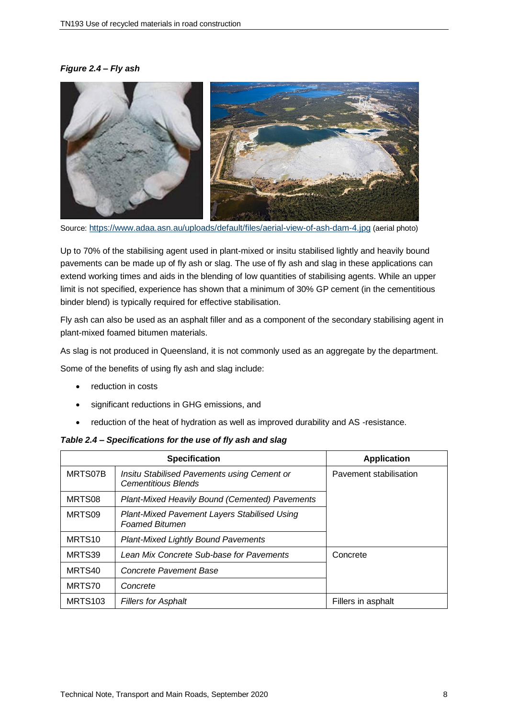# *Figure 2.4 – Fly ash*



Source: <https://www.adaa.asn.au/uploads/default/files/aerial-view-of-ash-dam-4.jpg> (aerial photo)

Up to 70% of the stabilising agent used in plant-mixed or insitu stabilised lightly and heavily bound pavements can be made up of fly ash or slag. The use of fly ash and slag in these applications can extend working times and aids in the blending of low quantities of stabilising agents. While an upper limit is not specified, experience has shown that a minimum of 30% GP cement (in the cementitious binder blend) is typically required for effective stabilisation.

Fly ash can also be used as an asphalt filler and as a component of the secondary stabilising agent in plant-mixed foamed bitumen materials.

As slag is not produced in Queensland, it is not commonly used as an aggregate by the department.

Some of the benefits of using fly ash and slag include:

- reduction in costs
- significant reductions in GHG emissions, and
- reduction of the heat of hydration as well as improved durability and AS -resistance.

#### *Table 2.4 – Specifications for the use of fly ash and slag*

|                    | <b>Specification</b>                                                      | <b>Application</b>     |
|--------------------|---------------------------------------------------------------------------|------------------------|
| MRTS07B            | Insitu Stabilised Pavements using Cement or<br><b>Cementitious Blends</b> | Pavement stabilisation |
| MRTS08             | <b>Plant-Mixed Heavily Bound (Cemented) Pavements</b>                     |                        |
| MRTS09             | Plant-Mixed Pavement Layers Stabilised Using<br><b>Foamed Bitumen</b>     |                        |
| MRTS <sub>10</sub> | <b>Plant-Mixed Lightly Bound Pavements</b>                                |                        |
| MRTS39             | Lean Mix Concrete Sub-base for Pavements                                  | Concrete               |
| MRTS40             | Concrete Pavement Base                                                    |                        |
| MRTS70             | Concrete                                                                  |                        |
| <b>MRTS103</b>     | <b>Fillers for Asphalt</b>                                                | Fillers in asphalt     |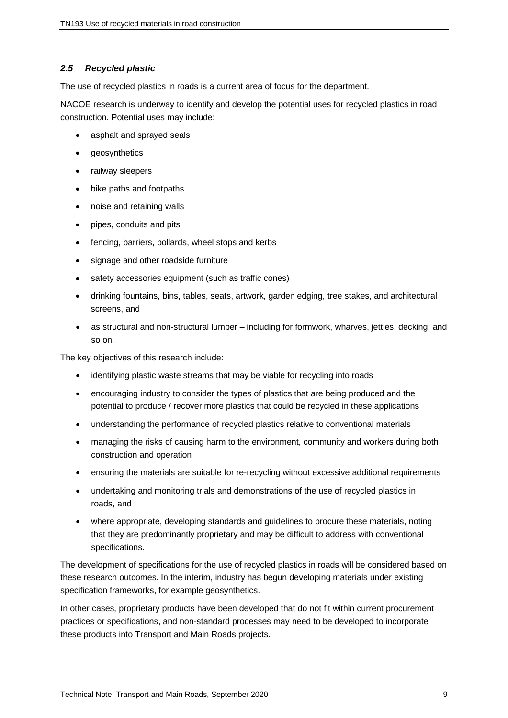# *2.5 Recycled plastic*

The use of recycled plastics in roads is a current area of focus for the department.

NACOE research is underway to identify and develop the potential uses for recycled plastics in road construction. Potential uses may include:

- asphalt and sprayed seals
- **geosynthetics**
- railway sleepers
- bike paths and footpaths
- noise and retaining walls
- pipes, conduits and pits
- fencing, barriers, bollards, wheel stops and kerbs
- signage and other roadside furniture
- safety accessories equipment (such as traffic cones)
- drinking fountains, bins, tables, seats, artwork, garden edging, tree stakes, and architectural screens, and
- as structural and non-structural lumber including for formwork, wharves, jetties, decking, and so on.

The key objectives of this research include:

- identifying plastic waste streams that may be viable for recycling into roads
- encouraging industry to consider the types of plastics that are being produced and the potential to produce / recover more plastics that could be recycled in these applications
- understanding the performance of recycled plastics relative to conventional materials
- managing the risks of causing harm to the environment, community and workers during both construction and operation
- ensuring the materials are suitable for re-recycling without excessive additional requirements
- undertaking and monitoring trials and demonstrations of the use of recycled plastics in roads, and
- where appropriate, developing standards and guidelines to procure these materials, noting that they are predominantly proprietary and may be difficult to address with conventional specifications.

The development of specifications for the use of recycled plastics in roads will be considered based on these research outcomes. In the interim, industry has begun developing materials under existing specification frameworks, for example geosynthetics.

In other cases, proprietary products have been developed that do not fit within current procurement practices or specifications, and non-standard processes may need to be developed to incorporate these products into Transport and Main Roads projects.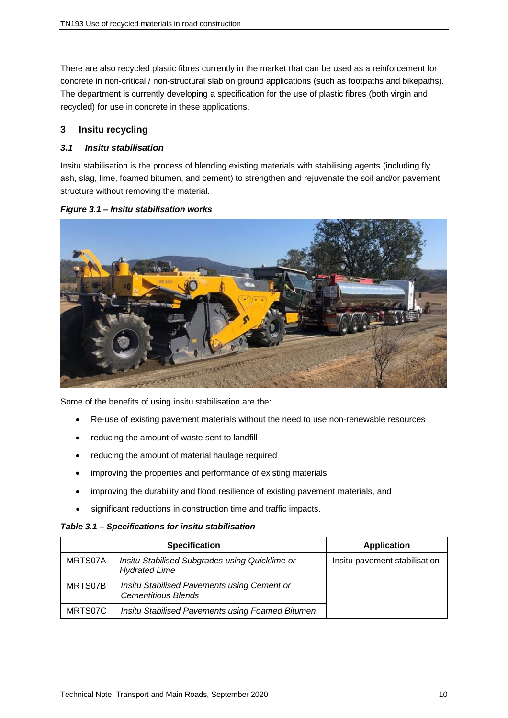There are also recycled plastic fibres currently in the market that can be used as a reinforcement for concrete in non-critical / non-structural slab on ground applications (such as footpaths and bikepaths). The department is currently developing a specification for the use of plastic fibres (both virgin and recycled) for use in concrete in these applications.

# **3 Insitu recycling**

# *3.1 Insitu stabilisation*

Insitu stabilisation is the process of blending existing materials with stabilising agents (including fly ash, slag, lime, foamed bitumen, and cement) to strengthen and rejuvenate the soil and/or pavement structure without removing the material.



## *Figure 3.1 – Insitu stabilisation works*

Some of the benefits of using insitu stabilisation are the:

- Re-use of existing pavement materials without the need to use non-renewable resources
- reducing the amount of waste sent to landfill
- reducing the amount of material haulage required
- improving the properties and performance of existing materials
- improving the durability and flood resilience of existing pavement materials, and
- significant reductions in construction time and traffic impacts.

#### *Table 3.1 – Specifications for insitu stabilisation*

|         | <b>Specification</b>                                                      | <b>Application</b>            |
|---------|---------------------------------------------------------------------------|-------------------------------|
| MRTS07A | Insitu Stabilised Subgrades using Quicklime or<br><b>Hydrated Lime</b>    | Insitu pavement stabilisation |
| MRTS07B | Insitu Stabilised Pavements using Cement or<br><b>Cementitious Blends</b> |                               |
| MRTS07C | Insitu Stabilised Pavements using Foamed Bitumen                          |                               |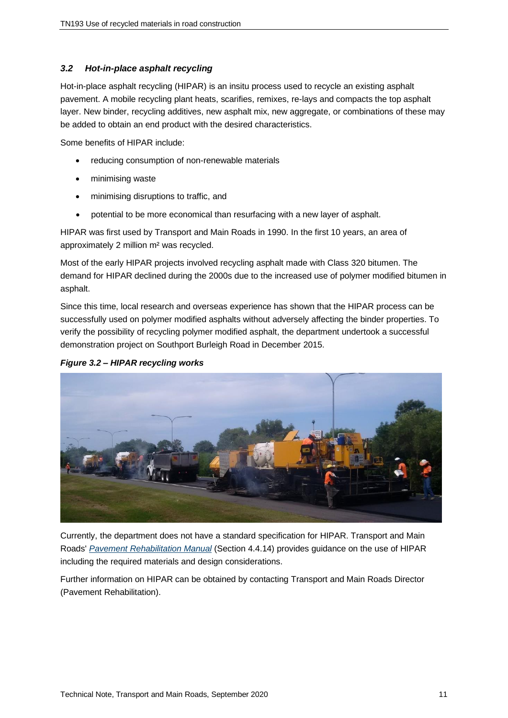# *3.2 Hot-in-place asphalt recycling*

Hot-in-place asphalt recycling (HIPAR) is an insitu process used to recycle an existing asphalt pavement. A mobile recycling plant heats, scarifies, remixes, re-lays and compacts the top asphalt layer. New binder, recycling additives, new asphalt mix, new aggregate, or combinations of these may be added to obtain an end product with the desired characteristics.

Some benefits of HIPAR include:

- reducing consumption of non-renewable materials
- minimising waste
- minimising disruptions to traffic, and
- potential to be more economical than resurfacing with a new layer of asphalt.

HIPAR was first used by Transport and Main Roads in 1990. In the first 10 years, an area of approximately 2 million m² was recycled.

Most of the early HIPAR projects involved recycling asphalt made with Class 320 bitumen. The demand for HIPAR declined during the 2000s due to the increased use of polymer modified bitumen in asphalt.

Since this time, local research and overseas experience has shown that the HIPAR process can be successfully used on polymer modified asphalts without adversely affecting the binder properties. To verify the possibility of recycling polymer modified asphalt, the department undertook a successful demonstration project on Southport Burleigh Road in December 2015.

#### *Figure 3.2 – HIPAR recycling works*



Currently, the department does not have a standard specification for HIPAR. Transport and Main Roads' *[Pavement Rehabilitation Manual](https://www.tmr.qld.gov.au/business-industry/Technical-standards-publications/Pavement-Rehabilitation-Manual)* (Section 4.4.14) provides guidance on the use of HIPAR including the required materials and design considerations.

Further information on HIPAR can be obtained by contacting Transport and Main Roads Director (Pavement Rehabilitation).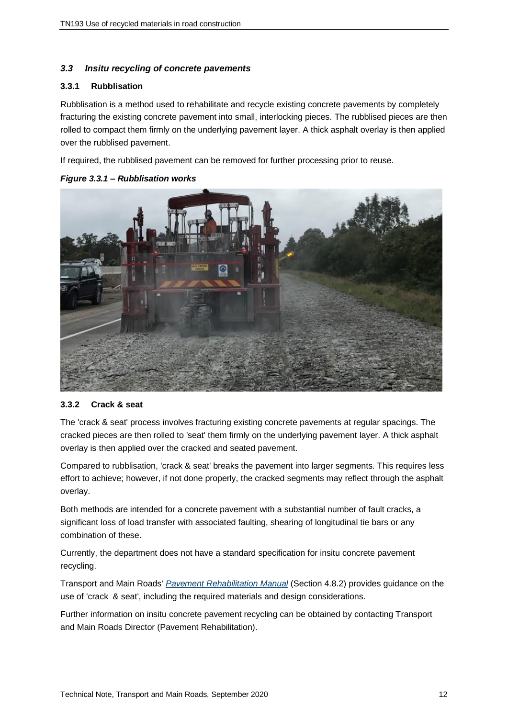# *3.3 Insitu recycling of concrete pavements*

#### **3.3.1 Rubblisation**

Rubblisation is a method used to rehabilitate and recycle existing concrete pavements by completely fracturing the existing concrete pavement into small, interlocking pieces. The rubblised pieces are then rolled to compact them firmly on the underlying pavement layer. A thick asphalt overlay is then applied over the rubblised pavement.

If required, the rubblised pavement can be removed for further processing prior to reuse.

*Figure 3.3.1 – Rubblisation works*



#### **3.3.2 Crack & seat**

The 'crack & seat' process involves fracturing existing concrete pavements at regular spacings. The cracked pieces are then rolled to 'seat' them firmly on the underlying pavement layer. A thick asphalt overlay is then applied over the cracked and seated pavement.

Compared to rubblisation, 'crack & seat' breaks the pavement into larger segments. This requires less effort to achieve; however, if not done properly, the cracked segments may reflect through the asphalt overlay.

Both methods are intended for a concrete pavement with a substantial number of fault cracks, a significant loss of load transfer with associated faulting, shearing of longitudinal tie bars or any combination of these.

Currently, the department does not have a standard specification for insitu concrete pavement recycling.

Transport and Main Roads' *[Pavement Rehabilitation Manual](https://www.tmr.qld.gov.au/business-industry/Technical-standards-publications/Pavement-Rehabilitation-Manual)* (Section 4.8.2) provides guidance on the use of 'crack & seat', including the required materials and design considerations.

Further information on insitu concrete pavement recycling can be obtained by contacting Transport and Main Roads Director (Pavement Rehabilitation).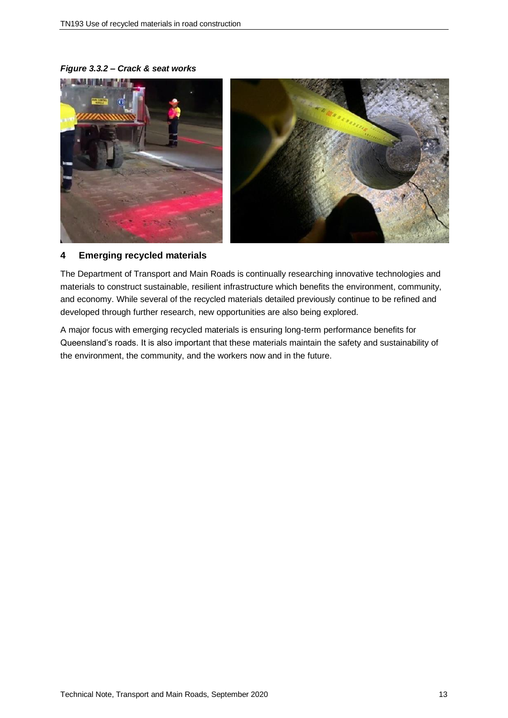*Figure 3.3.2 – Crack & seat works*



# **4 Emerging recycled materials**

The Department of Transport and Main Roads is continually researching innovative technologies and materials to construct sustainable, resilient infrastructure which benefits the environment, community, and economy. While several of the recycled materials detailed previously continue to be refined and developed through further research, new opportunities are also being explored.

A major focus with emerging recycled materials is ensuring long-term performance benefits for Queensland's roads. It is also important that these materials maintain the safety and sustainability of the environment, the community, and the workers now and in the future.